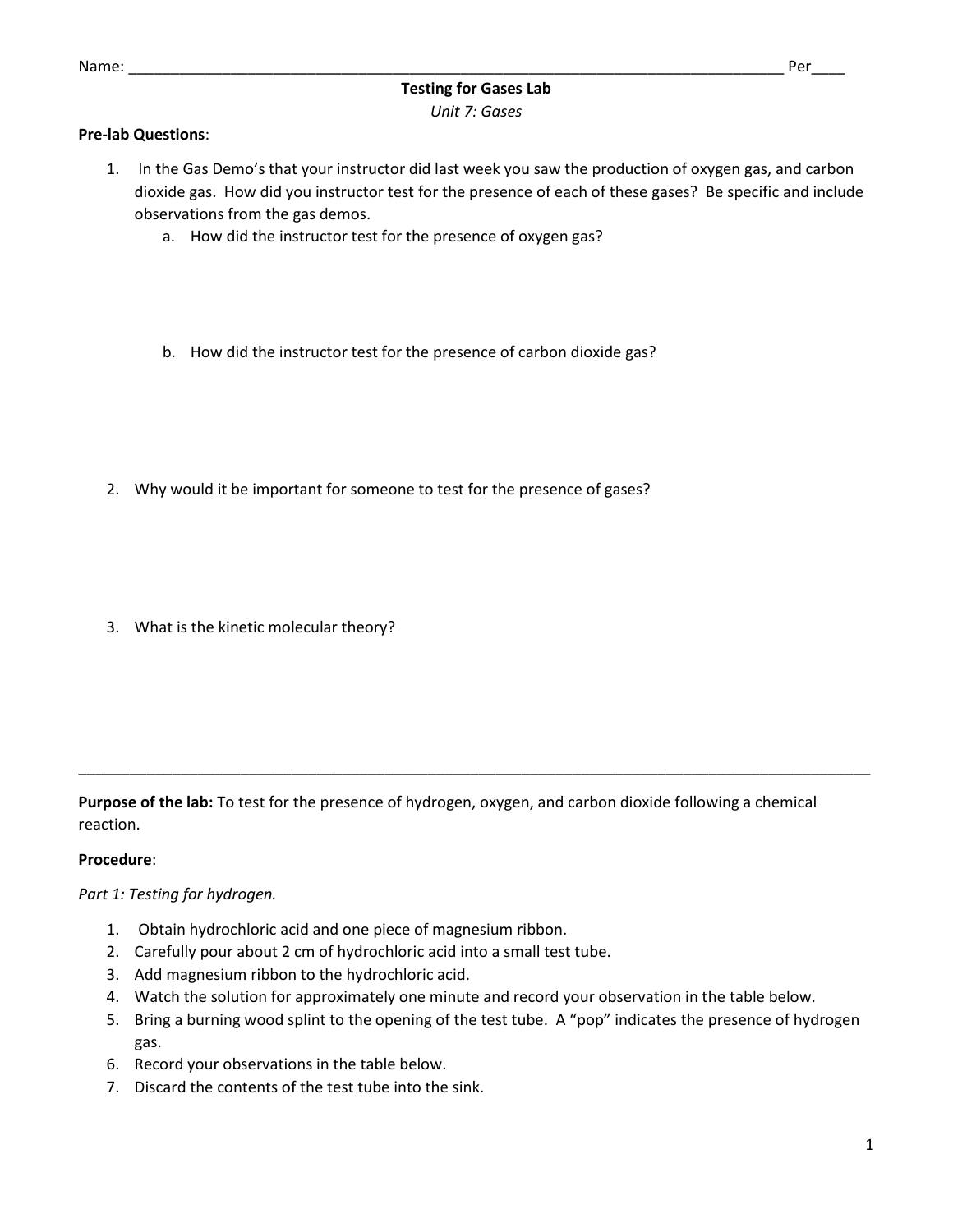# **Testing for Gases Lab** *Unit 7: Gases*

## **Pre-lab Questions**:

- 1. In the Gas Demo's that your instructor did last week you saw the production of oxygen gas, and carbon dioxide gas. How did you instructor test for the presence of each of these gases? Be specific and include observations from the gas demos.
	- a. How did the instructor test for the presence of oxygen gas?
	- b. How did the instructor test for the presence of carbon dioxide gas?
- 2. Why would it be important for someone to test for the presence of gases?
- 3. What is the kinetic molecular theory?

**Purpose of the lab:** To test for the presence of hydrogen, oxygen, and carbon dioxide following a chemical reaction.

\_\_\_\_\_\_\_\_\_\_\_\_\_\_\_\_\_\_\_\_\_\_\_\_\_\_\_\_\_\_\_\_\_\_\_\_\_\_\_\_\_\_\_\_\_\_\_\_\_\_\_\_\_\_\_\_\_\_\_\_\_\_\_\_\_\_\_\_\_\_\_\_\_\_\_\_\_\_\_\_\_\_\_\_\_\_\_\_\_\_\_\_\_

## **Procedure**:

#### *Part 1: Testing for hydrogen.*

- 1. Obtain hydrochloric acid and one piece of magnesium ribbon.
- 2. Carefully pour about 2 cm of hydrochloric acid into a small test tube.
- 3. Add magnesium ribbon to the hydrochloric acid.
- 4. Watch the solution for approximately one minute and record your observation in the table below.
- 5. Bring a burning wood splint to the opening of the test tube. A "pop" indicates the presence of hydrogen gas.
- 6. Record your observations in the table below.
- 7. Discard the contents of the test tube into the sink.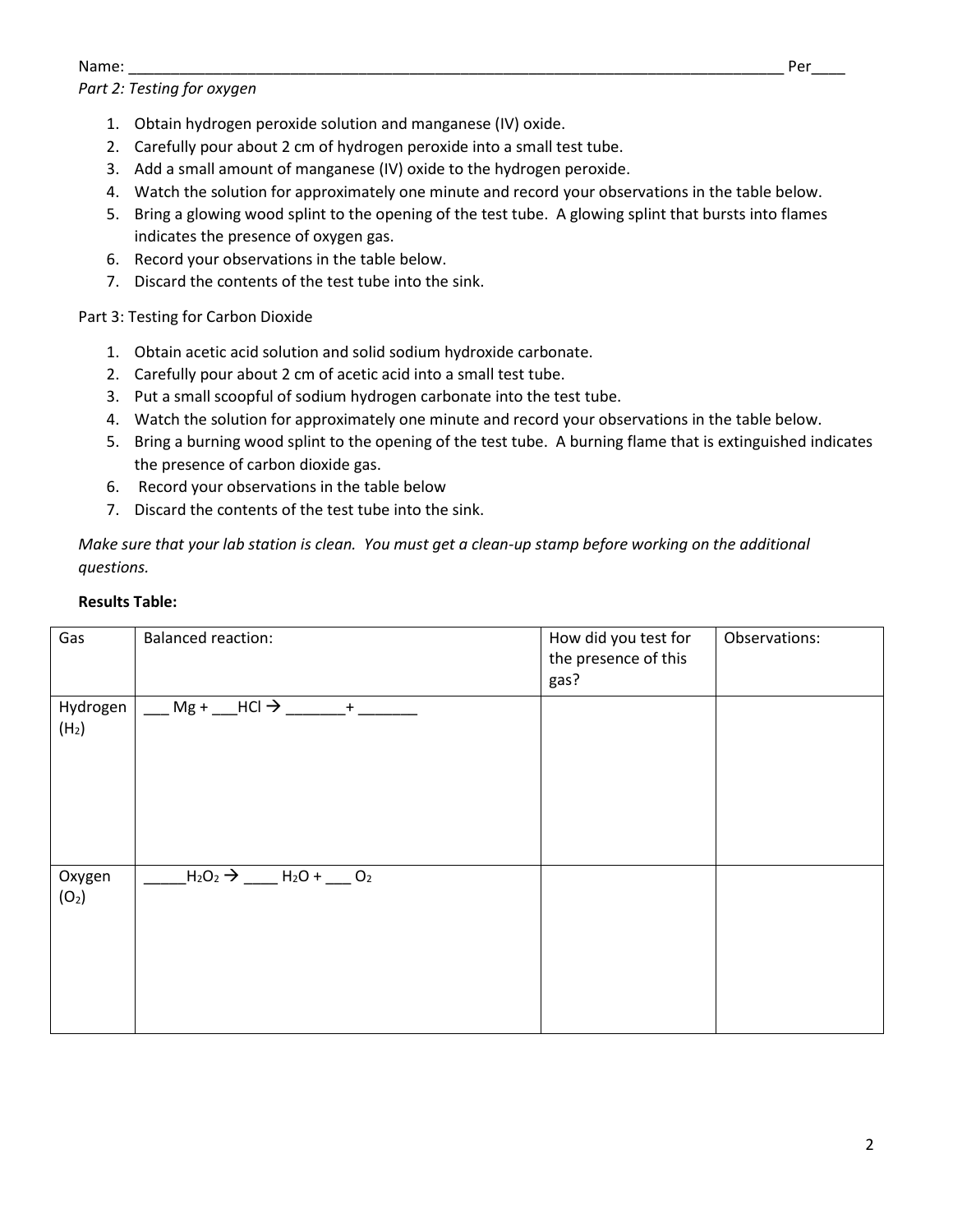#### Name: \_\_\_\_\_\_\_\_\_\_\_\_\_\_\_\_\_\_\_\_\_\_\_\_\_\_\_\_\_\_\_\_\_\_\_\_\_\_\_\_\_\_\_\_\_\_\_\_\_\_\_\_\_\_\_\_\_\_\_\_\_\_\_\_\_\_\_\_\_\_\_\_\_\_\_\_\_ Per\_\_\_\_

## *Part 2: Testing for oxygen*

- 1. Obtain hydrogen peroxide solution and manganese (IV) oxide.
- 2. Carefully pour about 2 cm of hydrogen peroxide into a small test tube.
- 3. Add a small amount of manganese (IV) oxide to the hydrogen peroxide.
- 4. Watch the solution for approximately one minute and record your observations in the table below.
- 5. Bring a glowing wood splint to the opening of the test tube. A glowing splint that bursts into flames indicates the presence of oxygen gas.
- 6. Record your observations in the table below.
- 7. Discard the contents of the test tube into the sink.

## Part 3: Testing for Carbon Dioxide

- 1. Obtain acetic acid solution and solid sodium hydroxide carbonate.
- 2. Carefully pour about 2 cm of acetic acid into a small test tube.
- 3. Put a small scoopful of sodium hydrogen carbonate into the test tube.
- 4. Watch the solution for approximately one minute and record your observations in the table below.
- 5. Bring a burning wood splint to the opening of the test tube. A burning flame that is extinguished indicates the presence of carbon dioxide gas.
- 6. Record your observations in the table below
- 7. Discard the contents of the test tube into the sink.

*Make sure that your lab station is clean. You must get a clean-up stamp before working on the additional questions.*

## **Results Table:**

| Gas                           | <b>Balanced reaction:</b>                                                                                                                  | How did you test for<br>the presence of this<br>gas? | Observations: |
|-------------------------------|--------------------------------------------------------------------------------------------------------------------------------------------|------------------------------------------------------|---------------|
| Hydrogen<br>(H <sub>2</sub> ) | $\underline{\qquad \qquad }$ Mg + $\underline{\qquad \qquad }$ HCl $\Rightarrow \underline{\qquad \qquad }$ + $\underline{\qquad \qquad }$ |                                                      |               |
| Oxygen<br>(O <sub>2</sub> )   | $-H_2O_2 \rightarrow$ _____ H <sub>2</sub> O + ___ O <sub>2</sub>                                                                          |                                                      |               |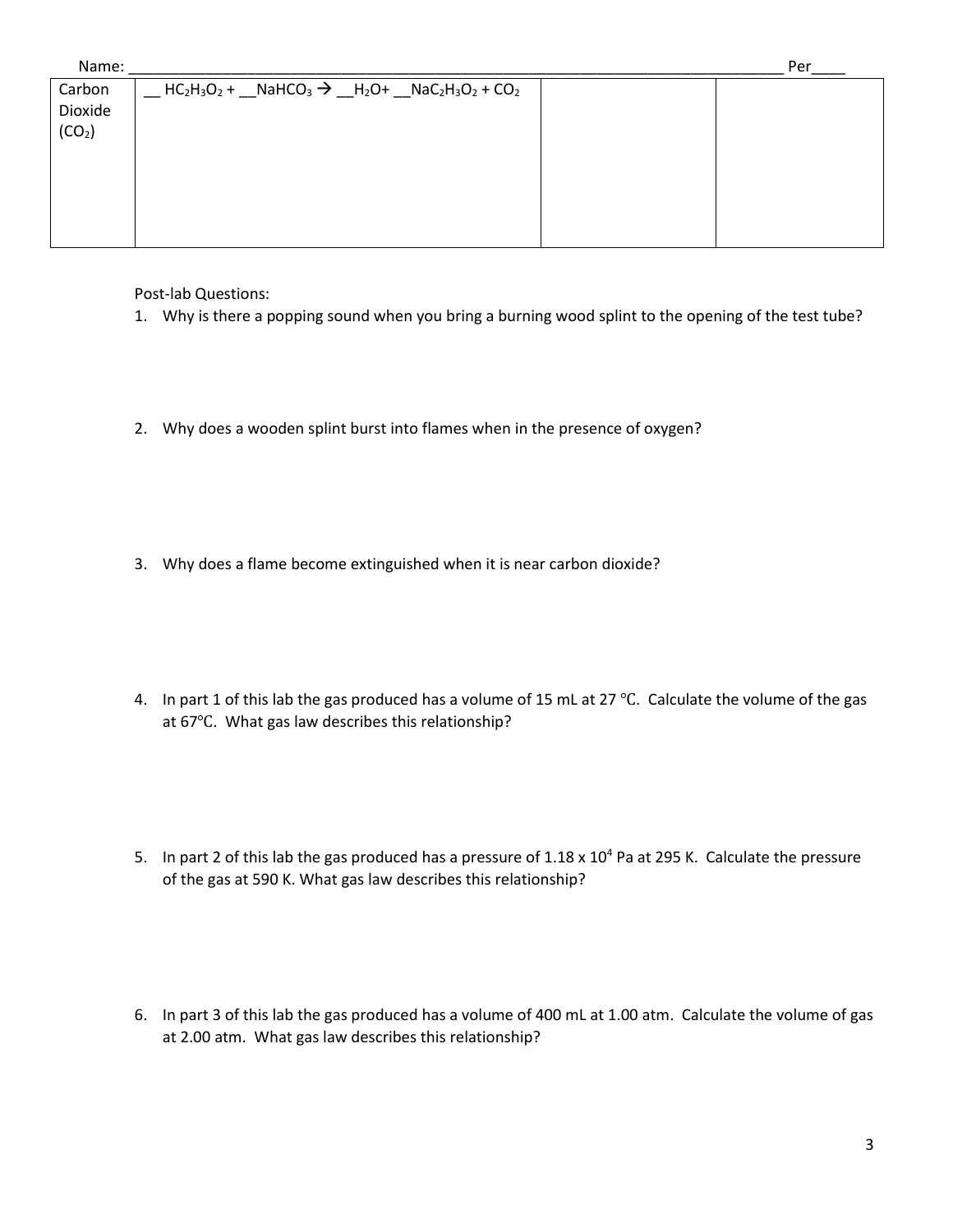| Name:              |                                                                                                                                                                                                                             | Per |
|--------------------|-----------------------------------------------------------------------------------------------------------------------------------------------------------------------------------------------------------------------------|-----|
| Carbon             | $\frac{1}{2}$ HC <sub>2</sub> H <sub>3</sub> O <sub>2</sub> + $\frac{1}{2}$ NaHCO <sub>3</sub> $\rightarrow$ $\frac{1}{2}$ H <sub>2</sub> O+ $\frac{1}{2}$ NaC <sub>2</sub> H <sub>3</sub> O <sub>2</sub> + CO <sub>2</sub> |     |
| Dioxide            |                                                                                                                                                                                                                             |     |
| (CO <sub>2</sub> ) |                                                                                                                                                                                                                             |     |
|                    |                                                                                                                                                                                                                             |     |
|                    |                                                                                                                                                                                                                             |     |
|                    |                                                                                                                                                                                                                             |     |
|                    |                                                                                                                                                                                                                             |     |
|                    |                                                                                                                                                                                                                             |     |

Post-lab Questions:

- 1. Why is there a popping sound when you bring a burning wood splint to the opening of the test tube?
- 2. Why does a wooden splint burst into flames when in the presence of oxygen?
- 3. Why does a flame become extinguished when it is near carbon dioxide?
- 4. In part 1 of this lab the gas produced has a volume of 15 mL at 27 ℃. Calculate the volume of the gas at 67℃. What gas law describes this relationship?
- 5. In part 2 of this lab the gas produced has a pressure of  $1.18 \times 10^4$  Pa at 295 K. Calculate the pressure of the gas at 590 K. What gas law describes this relationship?
- 6. In part 3 of this lab the gas produced has a volume of 400 mL at 1.00 atm. Calculate the volume of gas at 2.00 atm. What gas law describes this relationship?